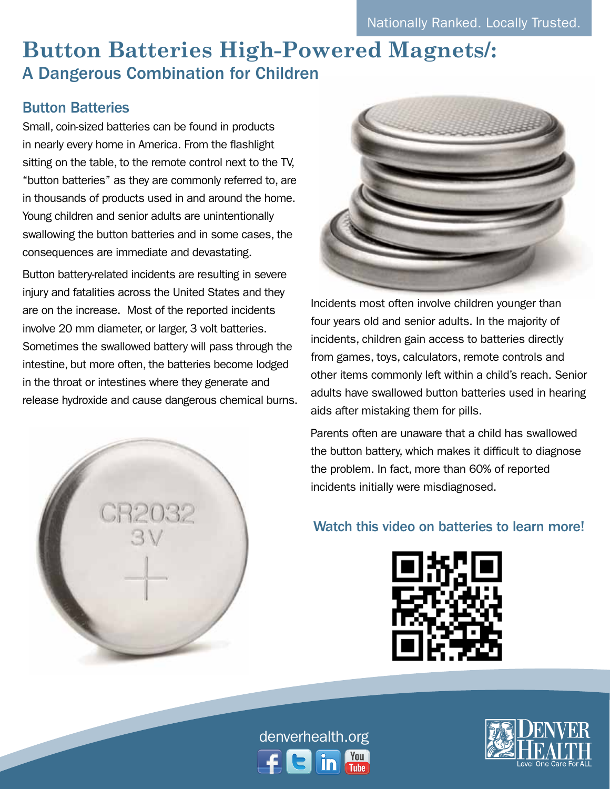# **Button Batteries High-Powered Magnets/:**  A Dangerous Combination for Children

# Button Batteries

Small, coin-sized batteries can be found in products in nearly every home in America. From the flashlight sitting on the table, to the remote control next to the TV, "button batteries" as they are commonly referred to, are in thousands of products used in and around the home. Young children and senior adults are unintentionally swallowing the button batteries and in some cases, the consequences are immediate and devastating.

Button battery-related incidents are resulting in severe injury and fatalities across the United States and they are on the increase. Most of the reported incidents involve 20 mm diameter, or larger, 3 volt batteries. Sometimes the swallowed battery will pass through the intestine, but more often, the batteries become lodged in the throat or intestines where they generate and release hydroxide and cause dangerous chemical burns.





Incidents most often involve children younger than four years old and senior adults. In the majority of incidents, children gain access to batteries directly from games, toys, calculators, remote controls and other items commonly left within a child's reach. Senior adults have swallowed button batteries used in hearing aids after mistaking them for pills.

Parents often are unaware that a child has swallowed the button battery, which makes it difficult to diagnose the problem. In fact, more than 60% of reported incidents initially were misdiagnosed.

## Watch this video on batteries to learn more!